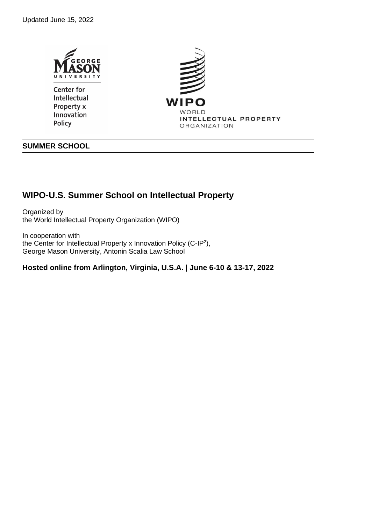



# **SUMMER SCHOOL**

# **WIPO-U.S. Summer School on Intellectual Property**

Organized by the World Intellectual Property Organization (WIPO)

In cooperation with the Center for Intellectual Property x Innovation Policy (C-IP<sup>2</sup>), George Mason University, Antonin Scalia Law School

**Hosted online from Arlington, Virginia, U.S.A. | June 6-10 & 13-17, 2022**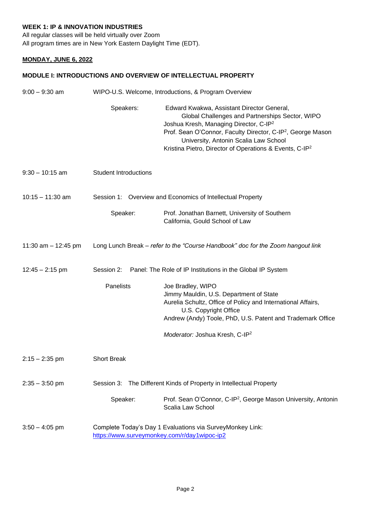## **WEEK 1: IP & INNOVATION INDUSTRIES**

All regular classes will be held virtually over Zoom All program times are in New York Eastern Daylight Time (EDT).

### **MONDAY, JUNE 6, 2022**

#### **MODULE I: INTRODUCTIONS AND OVERVIEW OF INTELLECTUAL PROPERTY**

| $9:00 - 9:30$ am      | WIPO-U.S. Welcome, Introductions, & Program Overview                                                      |                                                                                                                                                                                                                                                                                                                                                |
|-----------------------|-----------------------------------------------------------------------------------------------------------|------------------------------------------------------------------------------------------------------------------------------------------------------------------------------------------------------------------------------------------------------------------------------------------------------------------------------------------------|
|                       | Speakers:                                                                                                 | Edward Kwakwa, Assistant Director General,<br>Global Challenges and Partnerships Sector, WIPO<br>Joshua Kresh, Managing Director, C-IP <sup>2</sup><br>Prof. Sean O'Connor, Faculty Director, C-IP <sup>2</sup> , George Mason<br>University, Antonin Scalia Law School<br>Kristina Pietro, Director of Operations & Events, C-IP <sup>2</sup> |
| $9:30 - 10:15$ am     | <b>Student Introductions</b>                                                                              |                                                                                                                                                                                                                                                                                                                                                |
| $10:15 - 11:30$ am    |                                                                                                           | Session 1: Overview and Economics of Intellectual Property                                                                                                                                                                                                                                                                                     |
|                       | Speaker:                                                                                                  | Prof. Jonathan Barnett, University of Southern<br>California, Gould School of Law                                                                                                                                                                                                                                                              |
| 11:30 am $-$ 12:45 pm |                                                                                                           | Long Lunch Break - refer to the "Course Handbook" doc for the Zoom hangout link                                                                                                                                                                                                                                                                |
| $12:45 - 2:15$ pm     | Session 2:                                                                                                | Panel: The Role of IP Institutions in the Global IP System                                                                                                                                                                                                                                                                                     |
|                       | Panelists                                                                                                 | Joe Bradley, WIPO<br>Jimmy Mauldin, U.S. Department of State<br>Aurelia Schultz, Office of Policy and International Affairs,<br>U.S. Copyright Office<br>Andrew (Andy) Toole, PhD, U.S. Patent and Trademark Office                                                                                                                            |
|                       |                                                                                                           | Moderator: Joshua Kresh, C-IP <sup>2</sup>                                                                                                                                                                                                                                                                                                     |
| $2:15 - 2:35$ pm      | <b>Short Break</b>                                                                                        |                                                                                                                                                                                                                                                                                                                                                |
| $2:35 - 3:50$ pm      | Session 3:                                                                                                | The Different Kinds of Property in Intellectual Property                                                                                                                                                                                                                                                                                       |
|                       | Speaker:                                                                                                  | Prof. Sean O'Connor, C-IP <sup>2</sup> , George Mason University, Antonin<br>Scalia Law School                                                                                                                                                                                                                                                 |
| $3:50 - 4:05$ pm      | Complete Today's Day 1 Evaluations via SurveyMonkey Link:<br>https://www.surveymonkey.com/r/day1wipoc-ip2 |                                                                                                                                                                                                                                                                                                                                                |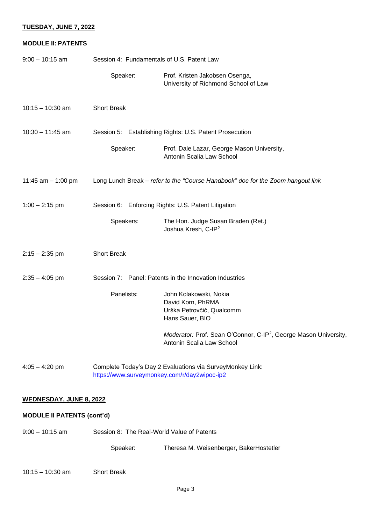#### **TUESDAY, JUNE 7, 2022**

#### **MODULE II: PATENTS**

| $9:00 - 10:15$ am                 | Session 4: Fundamentals of U.S. Patent Law                                                                |                                                                                                           |
|-----------------------------------|-----------------------------------------------------------------------------------------------------------|-----------------------------------------------------------------------------------------------------------|
|                                   | Speaker:                                                                                                  | Prof. Kristen Jakobsen Osenga,<br>University of Richmond School of Law                                    |
| $10:15 - 10:30$ am                | <b>Short Break</b>                                                                                        |                                                                                                           |
| $10:30 - 11:45$ am                |                                                                                                           | Session 5: Establishing Rights: U.S. Patent Prosecution                                                   |
|                                   | Speaker:                                                                                                  | Prof. Dale Lazar, George Mason University,<br>Antonin Scalia Law School                                   |
| 11:45 $am - 1:00$ pm              |                                                                                                           | Long Lunch Break - refer to the "Course Handbook" doc for the Zoom hangout link                           |
| $1:00 - 2:15$ pm                  | Session 6: Enforcing Rights: U.S. Patent Litigation                                                       |                                                                                                           |
|                                   | Speakers:                                                                                                 | The Hon. Judge Susan Braden (Ret.)<br>Joshua Kresh, C-IP <sup>2</sup>                                     |
| $2:15 - 2:35$ pm                  | <b>Short Break</b>                                                                                        |                                                                                                           |
| $2:35 - 4:05$ pm                  |                                                                                                           | Session 7: Panel: Patents in the Innovation Industries                                                    |
|                                   | Panelists:                                                                                                | John Kolakowski, Nokia<br>David Korn, PhRMA<br>Urška Petrovčič, Qualcomm<br>Hans Sauer, BIO               |
|                                   |                                                                                                           | Moderator: Prof. Sean O'Connor, C-IP <sup>2</sup> , George Mason University,<br>Antonin Scalia Law School |
| $4:05 - 4:20$ pm                  | Complete Today's Day 2 Evaluations via SurveyMonkey Link:<br>https://www.surveymonkey.com/r/day2wipoc-ip2 |                                                                                                           |
| <b>WEDNESDAY, JUNE 8, 2022</b>    |                                                                                                           |                                                                                                           |
| <b>MODULE II PATENTS (cont'd)</b> |                                                                                                           |                                                                                                           |
| $9:00 - 10:15$ am                 |                                                                                                           | Session 8: The Real-World Value of Patents                                                                |
|                                   | Speaker:                                                                                                  | Theresa M. Weisenberger, BakerHostetler                                                                   |

### 10:15 – 10:30 am Short Break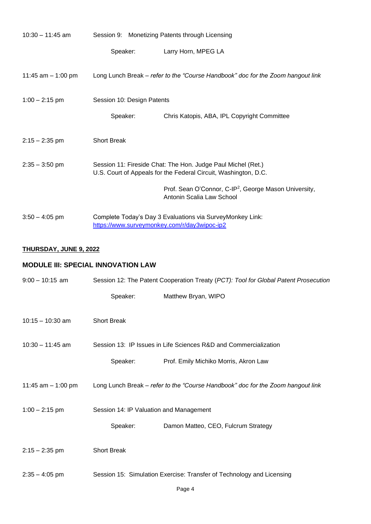| $10:30 - 11:45$ am   |                                                                                                                                 | Session 9: Monetizing Patents through Licensing                                                           |
|----------------------|---------------------------------------------------------------------------------------------------------------------------------|-----------------------------------------------------------------------------------------------------------|
|                      | Speaker:                                                                                                                        | Larry Horn, MPEG LA                                                                                       |
| 11:45 $am - 1:00$ pm |                                                                                                                                 | Long Lunch Break – refer to the "Course Handbook" doc for the Zoom hangout link                           |
| $1:00 - 2:15$ pm     | Session 10: Design Patents                                                                                                      |                                                                                                           |
|                      | Speaker:                                                                                                                        | Chris Katopis, ABA, IPL Copyright Committee                                                               |
| $2:15 - 2:35$ pm     | <b>Short Break</b>                                                                                                              |                                                                                                           |
| $2:35 - 3:50$ pm     | Session 11: Fireside Chat: The Hon. Judge Paul Michel (Ret.)<br>U.S. Court of Appeals for the Federal Circuit, Washington, D.C. |                                                                                                           |
|                      |                                                                                                                                 | Prof. Sean O'Connor, C-IP <sup>2</sup> , George Mason University,<br>Antonin Scalia Law School            |
| $3:50 - 4:05$ pm     |                                                                                                                                 | Complete Today's Day 3 Evaluations via SurveyMonkey Link:<br>https://www.surveymonkey.com/r/day3wipoc-ip2 |

# **THURSDAY, JUNE 9, 2022**

# **MODULE III: SPECIAL INNOVATION LAW**

| $9:00 - 10:15$ am    | Session 12: The Patent Cooperation Treaty (PCT): Tool for Global Patent Prosecution |                                                                                 |
|----------------------|-------------------------------------------------------------------------------------|---------------------------------------------------------------------------------|
|                      | Speaker:                                                                            | Matthew Bryan, WIPO                                                             |
| $10:15 - 10:30$ am   | <b>Short Break</b>                                                                  |                                                                                 |
| $10:30 - 11:45$ am   |                                                                                     | Session 13: IP Issues in Life Sciences R&D and Commercialization                |
|                      | Speaker:                                                                            | Prof. Emily Michiko Morris, Akron Law                                           |
| 11:45 $am - 1:00$ pm |                                                                                     | Long Lunch Break - refer to the "Course Handbook" doc for the Zoom hangout link |
| $1:00 - 2:15$ pm     | Session 14: IP Valuation and Management                                             |                                                                                 |
|                      | Speaker:                                                                            | Damon Matteo, CEO, Fulcrum Strategy                                             |
| $2:15 - 2:35$ pm     | <b>Short Break</b>                                                                  |                                                                                 |
| $2:35 - 4:05$ pm     |                                                                                     | Session 15: Simulation Exercise: Transfer of Technology and Licensing           |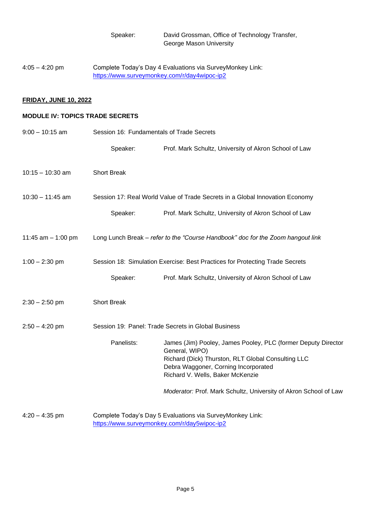| Speaker: | David Grossman, Office of Technology Transfer, |
|----------|------------------------------------------------|
|          | George Mason University                        |

4:05 – 4:20 pm Complete Today's Day 4 Evaluations via SurveyMonkey Link: <https://www.surveymonkey.com/r/day4wipoc-ip2>

### **FRIDAY, JUNE 10, 2022**

#### **MODULE IV: TOPICS TRADE SECRETS**

| $9:00 - 10:15$ am    | Session 16: Fundamentals of Trade Secrets           |                                                                                                                                                                                                                   |
|----------------------|-----------------------------------------------------|-------------------------------------------------------------------------------------------------------------------------------------------------------------------------------------------------------------------|
|                      | Speaker:                                            | Prof. Mark Schultz, University of Akron School of Law                                                                                                                                                             |
| $10:15 - 10:30$ am   | <b>Short Break</b>                                  |                                                                                                                                                                                                                   |
| $10:30 - 11:45$ am   |                                                     | Session 17: Real World Value of Trade Secrets in a Global Innovation Economy                                                                                                                                      |
|                      | Speaker:                                            | Prof. Mark Schultz, University of Akron School of Law                                                                                                                                                             |
| 11:45 $am - 1:00$ pm |                                                     | Long Lunch Break - refer to the "Course Handbook" doc for the Zoom hangout link                                                                                                                                   |
| $1:00 - 2:30$ pm     |                                                     | Session 18: Simulation Exercise: Best Practices for Protecting Trade Secrets                                                                                                                                      |
|                      | Speaker:                                            | Prof. Mark Schultz, University of Akron School of Law                                                                                                                                                             |
| $2:30 - 2:50$ pm     | <b>Short Break</b>                                  |                                                                                                                                                                                                                   |
| $2:50 - 4:20$ pm     | Session 19: Panel: Trade Secrets in Global Business |                                                                                                                                                                                                                   |
|                      | Panelists:                                          | James (Jim) Pooley, James Pooley, PLC (former Deputy Director<br>General, WIPO)<br>Richard (Dick) Thurston, RLT Global Consulting LLC<br>Debra Waggoner, Corning Incorporated<br>Richard V. Wells, Baker McKenzie |
|                      |                                                     | Moderator: Prof. Mark Schultz, University of Akron School of Law                                                                                                                                                  |
| $4:20 - 4:35$ pm     | https://www.surveymonkey.com/r/day5wipoc-ip2        | Complete Today's Day 5 Evaluations via SurveyMonkey Link:                                                                                                                                                         |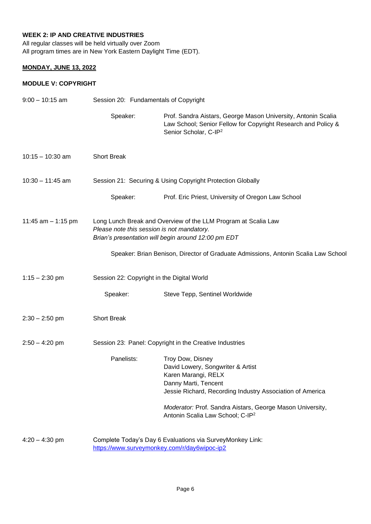# **WEEK 2: IP AND CREATIVE INDUSTRIES**

All regular classes will be held virtually over Zoom All program times are in New York Eastern Daylight Time (EDT).

## **MONDAY, JUNE 13, 2022**

#### **MODULE V: COPYRIGHT**

| $9:00 - 10:15$ am    | Session 20: Fundamentals of Copyright |                                                                                                                                                                                                                                                                                |  |  |
|----------------------|---------------------------------------|--------------------------------------------------------------------------------------------------------------------------------------------------------------------------------------------------------------------------------------------------------------------------------|--|--|
|                      | Speaker:                              | Prof. Sandra Aistars, George Mason University, Antonin Scalia<br>Law School; Senior Fellow for Copyright Research and Policy &<br>Senior Scholar, C-IP <sup>2</sup>                                                                                                            |  |  |
| $10:15 - 10:30$ am   | <b>Short Break</b>                    |                                                                                                                                                                                                                                                                                |  |  |
| $10:30 - 11:45$ am   |                                       | Session 21: Securing & Using Copyright Protection Globally                                                                                                                                                                                                                     |  |  |
|                      | Speaker:                              | Prof. Eric Priest, University of Oregon Law School                                                                                                                                                                                                                             |  |  |
| 11:45 $am - 1:15$ pm |                                       | Long Lunch Break and Overview of the LLM Program at Scalia Law<br>Please note this session is not mandatory.<br>Brian's presentation will begin around 12:00 pm EDT                                                                                                            |  |  |
|                      |                                       | Speaker: Brian Benison, Director of Graduate Admissions, Antonin Scalia Law School                                                                                                                                                                                             |  |  |
| $1:15 - 2:30$ pm     |                                       | Session 22: Copyright in the Digital World                                                                                                                                                                                                                                     |  |  |
|                      | Speaker:                              | Steve Tepp, Sentinel Worldwide                                                                                                                                                                                                                                                 |  |  |
| $2:30 - 2:50$ pm     | <b>Short Break</b>                    |                                                                                                                                                                                                                                                                                |  |  |
| $2:50 - 4:20$ pm     |                                       | Session 23: Panel: Copyright in the Creative Industries                                                                                                                                                                                                                        |  |  |
|                      | Panelists:                            | Troy Dow, Disney<br>David Lowery, Songwriter & Artist<br>Karen Marangi, RELX<br>Danny Marti, Tencent<br>Jessie Richard, Recording Industry Association of America<br>Moderator: Prof. Sandra Aistars, George Mason University,<br>Antonin Scalia Law School; C-IP <sup>2</sup> |  |  |
| $4:20 - 4:30$ pm     |                                       | Complete Today's Day 6 Evaluations via SurveyMonkey Link:<br>https://www.surveymonkey.com/r/day6wipoc-ip2                                                                                                                                                                      |  |  |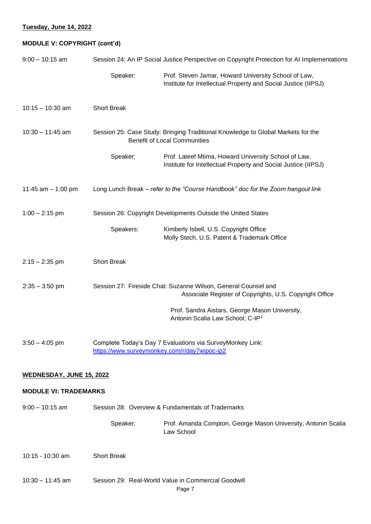# **Tuesday, June 14, 2022**

# **MODULE V: COPYRIGHT (cont'd)**

| $9:00 - 10:15$ am               | Session 24: An IP Social Justice Perspective on Copyright Protection for AI Implementations |                                                                                                                           |  |
|---------------------------------|---------------------------------------------------------------------------------------------|---------------------------------------------------------------------------------------------------------------------------|--|
|                                 | Speaker:                                                                                    | Prof. Steven Jamar, Howard University School of Law,<br>Institute for Intellectual Property and Social Justice (IIPSJ)    |  |
| $10:15 - 10:30$ am              | <b>Short Break</b>                                                                          |                                                                                                                           |  |
| $10:30 - 11:45$ am              |                                                                                             | Session 25: Case Study: Bringing Traditional Knowledge to Global Markets for the<br><b>Benefit of Local Communities</b>   |  |
|                                 | Speaker:                                                                                    | Prof. Lateef Mtima, Howard University School of Law,<br>Institute for Intellectual Property and Social Justice (IIPSJ)    |  |
| 11:45 $am - 1:00$ pm            |                                                                                             | Long Lunch Break - refer to the "Course Handbook" doc for the Zoom hangout link                                           |  |
| $1:00 - 2:15$ pm                |                                                                                             | Session 26: Copyright Developments Outside the United States                                                              |  |
|                                 | Speakers:                                                                                   | Kimberly Isbell, U.S. Copyright Office<br>Molly Stech, U.S. Patent & Trademark Office                                     |  |
| $2:15 - 2:35$ pm                | <b>Short Break</b>                                                                          |                                                                                                                           |  |
| $2:35 - 3:50$ pm                |                                                                                             | Session 27: Fireside Chat: Suzanne Wilson, General Counsel and<br>Associate Register of Copyrights, U.S. Copyright Office |  |
|                                 |                                                                                             | Prof. Sandra Aistars, George Mason University,<br>Antonin Scalia Law School; C-IP <sup>2</sup>                            |  |
| $3:50 - 4:05$ pm                |                                                                                             | Complete Today's Day 7 Evaluations via SurveyMonkey Link:<br>https://www.surveymonkey.com/r/day7wipoc-ip2                 |  |
| <b>WEDNESDAY, JUNE 15, 2022</b> |                                                                                             |                                                                                                                           |  |
| <b>MODULE VI: TRADEMARKS</b>    |                                                                                             |                                                                                                                           |  |
| $9:00 - 10:15$ am               |                                                                                             | Session 28: Overview & Fundamentals of Trademarks                                                                         |  |
|                                 | Speaker:                                                                                    | Prof. Amanda Compton, George Mason University, Antonin Scalia<br>Law School                                               |  |
| 10:15 - 10:30 am                | <b>Short Break</b>                                                                          |                                                                                                                           |  |
| $10:30 - 11:45$ am              |                                                                                             | Session 29: Real-World Value in Commercial Goodwill<br>Page 7                                                             |  |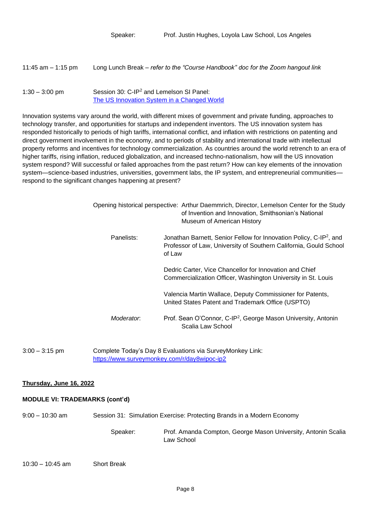| 11:45 am $-$ 1:15 pm | Long Lunch Break – refer to the "Course Handbook" doc for the Zoom hangout link                     |
|----------------------|-----------------------------------------------------------------------------------------------------|
| $1:30 - 3:00$ pm     | Session 30: C-IP <sup>2</sup> and Lemelson SI Panel:<br>The US Innovation System in a Changed World |

Innovation systems vary around the world, with different mixes of government and private funding, approaches to technology transfer, and opportunities for startups and independent inventors. The US innovation system has responded historically to periods of high tariffs, international conflict, and inflation with restrictions on patenting and direct government involvement in the economy, and to periods of stability and international trade with intellectual property reforms and incentives for technology commercialization. As countries around the world retrench to an era of higher tariffs, rising inflation, reduced globalization, and increased techno-nationalism, how will the US innovation system respond? Will successful or failed approaches from the past return? How can key elements of the innovation system—science-based industries, universities, government labs, the IP system, and entrepreneurial communities respond to the significant changes happening at present?

|            | Opening historical perspective: Arthur Daemmrich, Director, Lemelson Center for the Study<br>of Invention and Innovation, Smithsonian's National<br>Museum of American History |  |
|------------|--------------------------------------------------------------------------------------------------------------------------------------------------------------------------------|--|
| Panelists: | Jonathan Barnett, Senior Fellow for Innovation Policy, C-IP <sup>2</sup> , and<br>Professor of Law, University of Southern California, Gould School<br>of Law                  |  |
|            | Dedric Carter, Vice Chancellor for Innovation and Chief<br>Commercialization Officer, Washington University in St. Louis                                                       |  |
|            | Valencia Martin Wallace, Deputy Commissioner for Patents,<br>United States Patent and Trademark Office (USPTO)                                                                 |  |
| Moderator: | Prof. Sean O'Connor, C-IP <sup>2</sup> , George Mason University, Antonin<br>Scalia Law School                                                                                 |  |

3:00 – 3:15 pm Complete Today's Day 8 Evaluations via SurveyMonkey Link: <https://www.surveymonkey.com/r/day8wipoc-ip2>

#### **Thursday, June 16, 2022**

#### **MODULE VI: TRADEMARKS (cont'd)**

9:00 – 10:30 am Session 31: Simulation Exercise: Protecting Brands in a Modern Economy

Speaker: Prof. Amanda Compton, George Mason University, Antonin Scalia Law School

## 10:30 – 10:45 am Short Break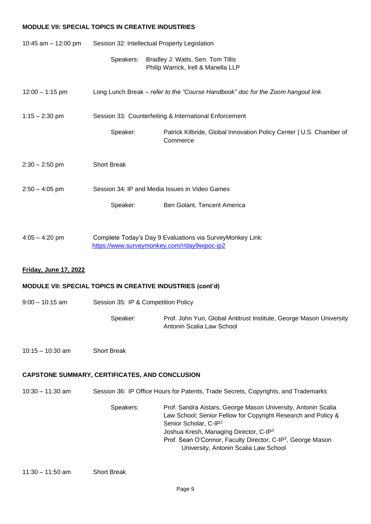#### **MODULE VII: SPECIAL TOPICS IN CREATIVE INDUSTRIES**

| 10:45 am - 12:00 pm                                   | Session 32: Intellectual Property Legislation                                                             |                                                                                                                                                                                                                                                                                                                                               |
|-------------------------------------------------------|-----------------------------------------------------------------------------------------------------------|-----------------------------------------------------------------------------------------------------------------------------------------------------------------------------------------------------------------------------------------------------------------------------------------------------------------------------------------------|
|                                                       | Speakers:                                                                                                 | Bradley J. Watts, Sen. Tom Tillis<br>Philip Warrick, Irell & Manella LLP                                                                                                                                                                                                                                                                      |
| $12:00 - 1:15$ pm                                     |                                                                                                           | Long Lunch Break - refer to the "Course Handbook" doc for the Zoom hangout link                                                                                                                                                                                                                                                               |
| $1:15 - 2:30$ pm                                      |                                                                                                           | Session 33: Counterfeiting & International Enforcement                                                                                                                                                                                                                                                                                        |
|                                                       | Speaker:                                                                                                  | Patrick Kilbride, Global Innovation Policy Center   U.S. Chamber of<br>Commerce                                                                                                                                                                                                                                                               |
| $2:30 - 2:50$ pm                                      | <b>Short Break</b>                                                                                        |                                                                                                                                                                                                                                                                                                                                               |
| $2:50 - 4:05$ pm                                      |                                                                                                           | Session 34: IP and Media Issues in Video Games                                                                                                                                                                                                                                                                                                |
|                                                       | Speaker:                                                                                                  | Ben Golant, Tencent America                                                                                                                                                                                                                                                                                                                   |
| $4:05 - 4:20$ pm                                      | Complete Today's Day 9 Evaluations via SurveyMonkey Link:<br>https://www.surveymonkey.com/r/day9wipoc-ip2 |                                                                                                                                                                                                                                                                                                                                               |
| Friday, June 17, 2022                                 |                                                                                                           |                                                                                                                                                                                                                                                                                                                                               |
|                                                       |                                                                                                           | <b>MODULE VII: SPECIAL TOPICS IN CREATIVE INDUSTRIES (cont'd)</b>                                                                                                                                                                                                                                                                             |
| $9:00 - 10:15$ am                                     | Session 35: IP & Competition Policy                                                                       |                                                                                                                                                                                                                                                                                                                                               |
|                                                       | Speaker:                                                                                                  | Prof. John Yun, Global Antitrust Institute, George Mason University<br>Antonin Scalia Law School                                                                                                                                                                                                                                              |
| $10:15 - 10:30$ am                                    | <b>Short Break</b>                                                                                        |                                                                                                                                                                                                                                                                                                                                               |
| <b>CAPSTONE SUMMARY, CERTIFICATES, AND CONCLUSION</b> |                                                                                                           |                                                                                                                                                                                                                                                                                                                                               |
| $10:30 - 11:30$ am                                    | Session 36: IP Office Hours for Patents, Trade Secrets, Copyrights, and Trademarks                        |                                                                                                                                                                                                                                                                                                                                               |
|                                                       | Speakers:                                                                                                 | Prof. Sandra Aistars, George Mason University, Antonin Scalia<br>Law School; Senior Fellow for Copyright Research and Policy &<br>Senior Scholar, C-IP <sup>2</sup><br>Joshua Kresh, Managing Director, C-IP <sup>2</sup><br>Prof. Sean O'Connor, Faculty Director, C-IP <sup>2</sup> , George Mason<br>University, Antonin Scalia Law School |